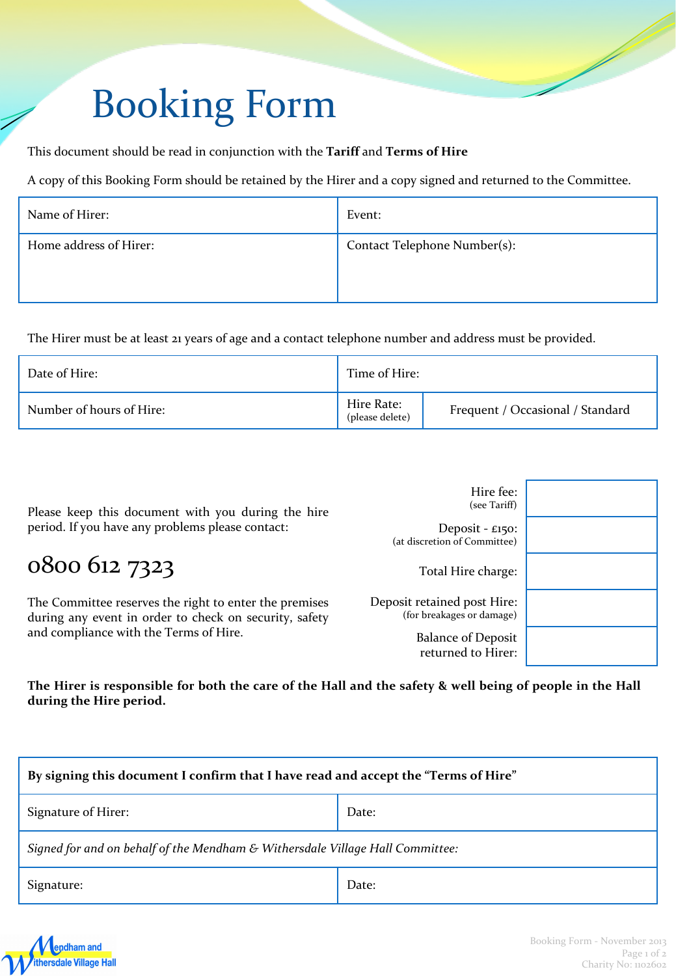# Booking Form

This document should be read in conjunction with the **Tariff** and **Terms of Hire**

A copy of this Booking Form should be retained by the Hirer and a copy signed and returned to the Committee.

| Name of Hirer:         | Event:                       |
|------------------------|------------------------------|
| Home address of Hirer: | Contact Telephone Number(s): |

The Hirer must be at least 21 years of age and a contact telephone number and address must be provided.

| Date of Hire:            | Time of Hire:                 |                                  |
|--------------------------|-------------------------------|----------------------------------|
| Number of hours of Hire: | Hire Rate:<br>(please delete) | Frequent / Occasional / Standard |

| Please keep this document with you during the hire<br>period. If you have any problems please contact:                                                     | Hire fee:<br>(see Tariff)                                |  |
|------------------------------------------------------------------------------------------------------------------------------------------------------------|----------------------------------------------------------|--|
|                                                                                                                                                            | Deposit - $£150$ :<br>(at discretion of Committee)       |  |
| 0800 612 7323                                                                                                                                              | Total Hire charge:                                       |  |
| The Committee reserves the right to enter the premises<br>during any event in order to check on security, safety<br>and compliance with the Terms of Hire. | Deposit retained post Hire:<br>(for breakages or damage) |  |
|                                                                                                                                                            | <b>Balance of Deposit</b><br>returned to Hirer:          |  |

The Hirer is responsible for both the care of the Hall and the safety & well being of people in the Hall **during the Hire period.**

| By signing this document I confirm that I have read and accept the "Terms of Hire" |       |  |
|------------------------------------------------------------------------------------|-------|--|
| Signature of Hirer:                                                                | Date: |  |
| Signed for and on behalf of the Mendham & Withersdale Village Hall Committee:      |       |  |
| Signature:                                                                         | Date: |  |